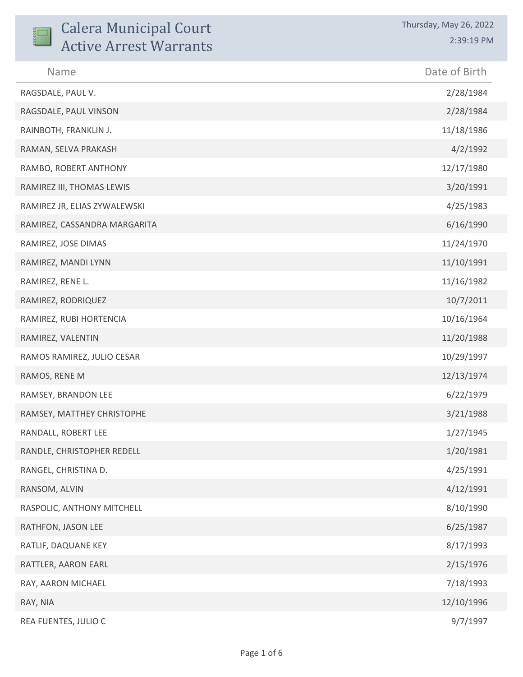| <b>Calera Municipal Court</b><br><b>Active Arrest Warrants</b> | Thursday, May 26, 2022<br>2:39:19 PM |
|----------------------------------------------------------------|--------------------------------------|
| Name                                                           | Date of Birth                        |
| RAGSDALE, PAUL V.                                              | 2/28/1984                            |
| RAGSDALE, PAUL VINSON                                          | 2/28/1984                            |
| RAINBOTH, FRANKLIN J.                                          | 11/18/1986                           |
| RAMAN, SELVA PRAKASH                                           | 4/2/1992                             |
| RAMBO, ROBERT ANTHONY                                          | 12/17/1980                           |
| RAMIREZ III, THOMAS LEWIS                                      | 3/20/1991                            |
| RAMIREZ JR, ELIAS ZYWALEWSKI                                   | 4/25/1983                            |
| RAMIREZ, CASSANDRA MARGARITA                                   | 6/16/1990                            |
| RAMIREZ, JOSE DIMAS                                            | 11/24/1970                           |
| RAMIREZ, MANDI LYNN                                            | 11/10/1991                           |
| RAMIREZ, RENE L.                                               | 11/16/1982                           |
| RAMIREZ, RODRIQUEZ                                             | 10/7/2011                            |
| RAMIREZ, RUBI HORTENCIA                                        | 10/16/1964                           |
| RAMIREZ, VALENTIN                                              | 11/20/1988                           |
| RAMOS RAMIREZ, JULIO CESAR                                     | 10/29/1997                           |
| RAMOS, RENE M                                                  | 12/13/1974                           |
| RAMSEY, BRANDON LEE                                            | 6/22/1979                            |
| RAMSEY, MATTHEY CHRISTOPHE                                     | 3/21/1988                            |
| RANDALL, ROBERT LEE                                            | 1/27/1945                            |
| RANDLE, CHRISTOPHER REDELL                                     | 1/20/1981                            |
| RANGEL, CHRISTINA D.                                           | 4/25/1991                            |
| RANSOM, ALVIN                                                  | 4/12/1991                            |
| RASPOLIC, ANTHONY MITCHELL                                     | 8/10/1990                            |
| RATHFON, JASON LEE                                             | 6/25/1987                            |
| RATLIF, DAQUANE KEY                                            | 8/17/1993                            |
| RATTLER, AARON EARL                                            | 2/15/1976                            |
| RAY, AARON MICHAEL                                             | 7/18/1993                            |
| RAY, NIA                                                       | 12/10/1996                           |
| REA FUENTES, JULIO C                                           | 9/7/1997                             |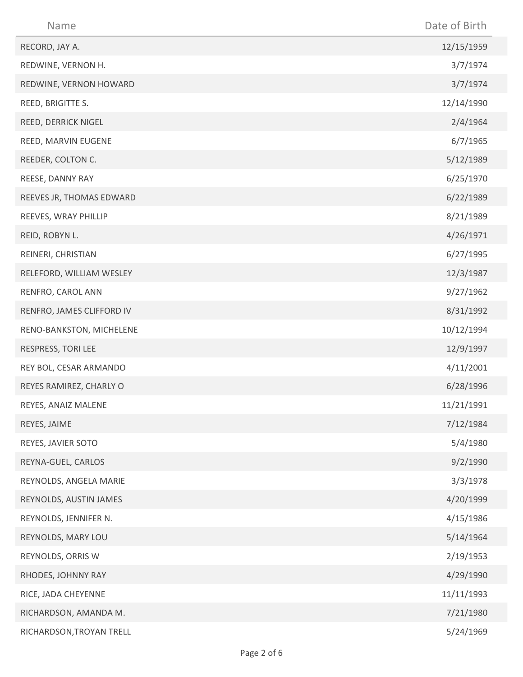| Name                      | Date of Birth |
|---------------------------|---------------|
| RECORD, JAY A.            | 12/15/1959    |
| REDWINE, VERNON H.        | 3/7/1974      |
| REDWINE, VERNON HOWARD    | 3/7/1974      |
| REED, BRIGITTE S.         | 12/14/1990    |
| REED, DERRICK NIGEL       | 2/4/1964      |
| REED, MARVIN EUGENE       | 6/7/1965      |
| REEDER, COLTON C.         | 5/12/1989     |
| REESE, DANNY RAY          | 6/25/1970     |
| REEVES JR, THOMAS EDWARD  | 6/22/1989     |
| REEVES, WRAY PHILLIP      | 8/21/1989     |
| REID, ROBYN L.            | 4/26/1971     |
| REINERI, CHRISTIAN        | 6/27/1995     |
| RELEFORD, WILLIAM WESLEY  | 12/3/1987     |
| RENFRO, CAROL ANN         | 9/27/1962     |
| RENFRO, JAMES CLIFFORD IV | 8/31/1992     |
| RENO-BANKSTON, MICHELENE  | 10/12/1994    |
| RESPRESS, TORI LEE        | 12/9/1997     |
| REY BOL, CESAR ARMANDO    | 4/11/2001     |
| REYES RAMIREZ, CHARLY O   | 6/28/1996     |
| REYES, ANAIZ MALENE       | 11/21/1991    |
| REYES, JAIME              | 7/12/1984     |
| REYES, JAVIER SOTO        | 5/4/1980      |
| REYNA-GUEL, CARLOS        | 9/2/1990      |
| REYNOLDS, ANGELA MARIE    | 3/3/1978      |
| REYNOLDS, AUSTIN JAMES    | 4/20/1999     |
| REYNOLDS, JENNIFER N.     | 4/15/1986     |
| REYNOLDS, MARY LOU        | 5/14/1964     |
| REYNOLDS, ORRIS W         | 2/19/1953     |
| RHODES, JOHNNY RAY        | 4/29/1990     |
| RICE, JADA CHEYENNE       | 11/11/1993    |
| RICHARDSON, AMANDA M.     | 7/21/1980     |
| RICHARDSON, TROYAN TRELL  | 5/24/1969     |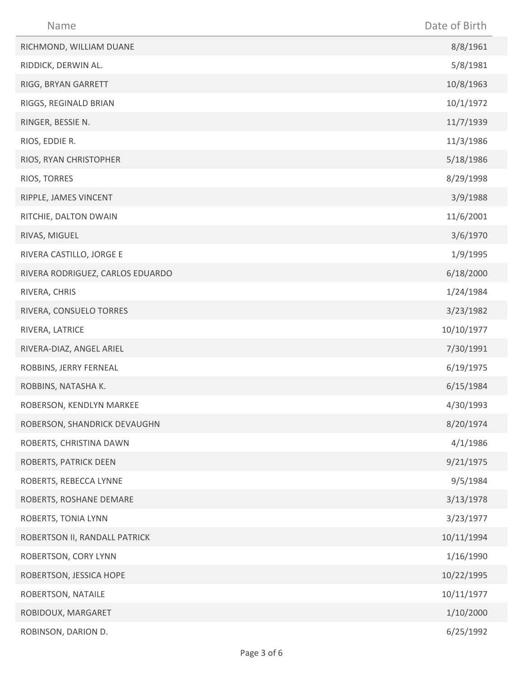| Name                             | Date of Birth |
|----------------------------------|---------------|
| RICHMOND, WILLIAM DUANE          | 8/8/1961      |
| RIDDICK, DERWIN AL.              | 5/8/1981      |
| RIGG, BRYAN GARRETT              | 10/8/1963     |
| RIGGS, REGINALD BRIAN            | 10/1/1972     |
| RINGER, BESSIE N.                | 11/7/1939     |
| RIOS, EDDIE R.                   | 11/3/1986     |
| RIOS, RYAN CHRISTOPHER           | 5/18/1986     |
| RIOS, TORRES                     | 8/29/1998     |
| RIPPLE, JAMES VINCENT            | 3/9/1988      |
| RITCHIE, DALTON DWAIN            | 11/6/2001     |
| RIVAS, MIGUEL                    | 3/6/1970      |
| RIVERA CASTILLO, JORGE E         | 1/9/1995      |
| RIVERA RODRIGUEZ, CARLOS EDUARDO | 6/18/2000     |
| RIVERA, CHRIS                    | 1/24/1984     |
| RIVERA, CONSUELO TORRES          | 3/23/1982     |
| RIVERA, LATRICE                  | 10/10/1977    |
| RIVERA-DIAZ, ANGEL ARIEL         | 7/30/1991     |
| ROBBINS, JERRY FERNEAL           | 6/19/1975     |
| ROBBINS, NATASHA K.              | 6/15/1984     |
| ROBERSON, KENDLYN MARKEE         | 4/30/1993     |
| ROBERSON, SHANDRICK DEVAUGHN     | 8/20/1974     |
| ROBERTS, CHRISTINA DAWN          | 4/1/1986      |
| ROBERTS, PATRICK DEEN            | 9/21/1975     |
| ROBERTS, REBECCA LYNNE           | 9/5/1984      |
| ROBERTS, ROSHANE DEMARE          | 3/13/1978     |
| ROBERTS, TONIA LYNN              | 3/23/1977     |
| ROBERTSON II, RANDALL PATRICK    | 10/11/1994    |
| ROBERTSON, CORY LYNN             | 1/16/1990     |
| ROBERTSON, JESSICA HOPE          | 10/22/1995    |
| ROBERTSON, NATAILE               | 10/11/1977    |
| ROBIDOUX, MARGARET               | 1/10/2000     |
| ROBINSON, DARION D.              | 6/25/1992     |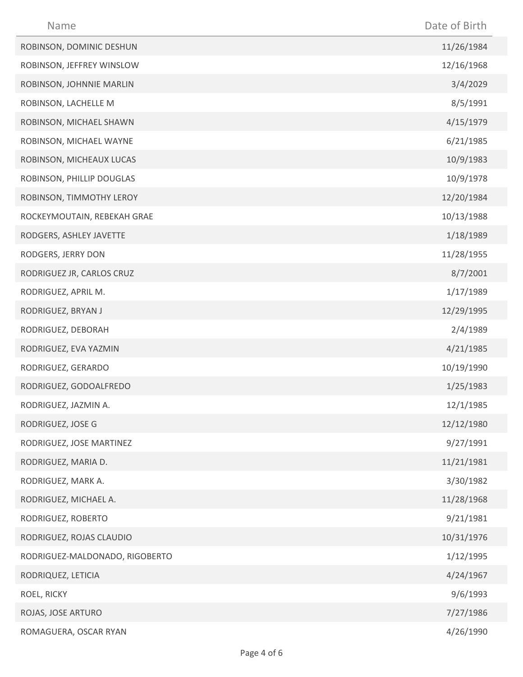| Name                           | Date of Birth |
|--------------------------------|---------------|
| ROBINSON, DOMINIC DESHUN       | 11/26/1984    |
| ROBINSON, JEFFREY WINSLOW      | 12/16/1968    |
| ROBINSON, JOHNNIE MARLIN       | 3/4/2029      |
| ROBINSON, LACHELLE M           | 8/5/1991      |
| ROBINSON, MICHAEL SHAWN        | 4/15/1979     |
| ROBINSON, MICHAEL WAYNE        | 6/21/1985     |
| ROBINSON, MICHEAUX LUCAS       | 10/9/1983     |
| ROBINSON, PHILLIP DOUGLAS      | 10/9/1978     |
| ROBINSON, TIMMOTHY LEROY       | 12/20/1984    |
| ROCKEYMOUTAIN, REBEKAH GRAE    | 10/13/1988    |
| RODGERS, ASHLEY JAVETTE        | 1/18/1989     |
| RODGERS, JERRY DON             | 11/28/1955    |
| RODRIGUEZ JR, CARLOS CRUZ      | 8/7/2001      |
| RODRIGUEZ, APRIL M.            | 1/17/1989     |
| RODRIGUEZ, BRYAN J             | 12/29/1995    |
| RODRIGUEZ, DEBORAH             | 2/4/1989      |
| RODRIGUEZ, EVA YAZMIN          | 4/21/1985     |
| RODRIGUEZ, GERARDO             | 10/19/1990    |
| RODRIGUEZ, GODOALFREDO         | 1/25/1983     |
| RODRIGUEZ, JAZMIN A.           | 12/1/1985     |
| RODRIGUEZ, JOSE G              | 12/12/1980    |
| RODRIGUEZ, JOSE MARTINEZ       | 9/27/1991     |
| RODRIGUEZ, MARIA D.            | 11/21/1981    |
| RODRIGUEZ, MARK A.             | 3/30/1982     |
| RODRIGUEZ, MICHAEL A.          | 11/28/1968    |
| RODRIGUEZ, ROBERTO             | 9/21/1981     |
| RODRIGUEZ, ROJAS CLAUDIO       | 10/31/1976    |
| RODRIGUEZ-MALDONADO, RIGOBERTO | 1/12/1995     |
| RODRIQUEZ, LETICIA             | 4/24/1967     |
| ROEL, RICKY                    | 9/6/1993      |
| ROJAS, JOSE ARTURO             | 7/27/1986     |
| ROMAGUERA, OSCAR RYAN          | 4/26/1990     |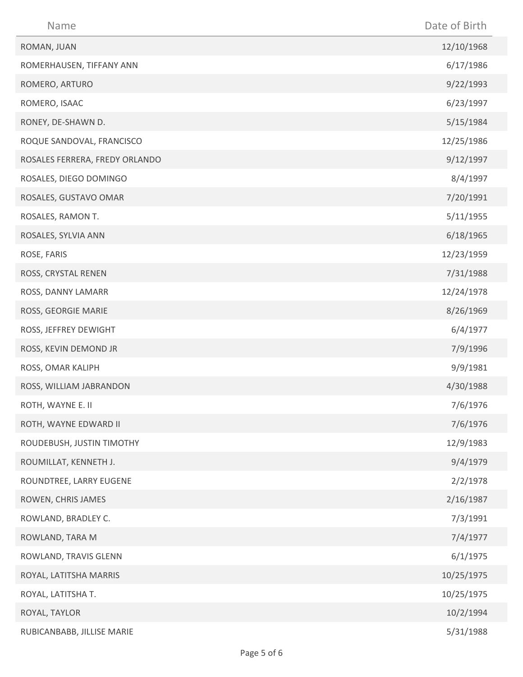| Name                           | Date of Birth |
|--------------------------------|---------------|
| ROMAN, JUAN                    | 12/10/1968    |
| ROMERHAUSEN, TIFFANY ANN       | 6/17/1986     |
| ROMERO, ARTURO                 | 9/22/1993     |
| ROMERO, ISAAC                  | 6/23/1997     |
| RONEY, DE-SHAWN D.             | 5/15/1984     |
| ROQUE SANDOVAL, FRANCISCO      | 12/25/1986    |
| ROSALES FERRERA, FREDY ORLANDO | 9/12/1997     |
| ROSALES, DIEGO DOMINGO         | 8/4/1997      |
| ROSALES, GUSTAVO OMAR          | 7/20/1991     |
| ROSALES, RAMON T.              | 5/11/1955     |
| ROSALES, SYLVIA ANN            | 6/18/1965     |
| ROSE, FARIS                    | 12/23/1959    |
| ROSS, CRYSTAL RENEN            | 7/31/1988     |
| ROSS, DANNY LAMARR             | 12/24/1978    |
| ROSS, GEORGIE MARIE            | 8/26/1969     |
| ROSS, JEFFREY DEWIGHT          | 6/4/1977      |
| ROSS, KEVIN DEMOND JR          | 7/9/1996      |
| ROSS, OMAR KALIPH              | 9/9/1981      |
| ROSS, WILLIAM JABRANDON        | 4/30/1988     |
| ROTH, WAYNE E. II              | 7/6/1976      |
| ROTH, WAYNE EDWARD II          | 7/6/1976      |
| ROUDEBUSH, JUSTIN TIMOTHY      | 12/9/1983     |
| ROUMILLAT, KENNETH J.          | 9/4/1979      |
| ROUNDTREE, LARRY EUGENE        | 2/2/1978      |
| ROWEN, CHRIS JAMES             | 2/16/1987     |
| ROWLAND, BRADLEY C.            | 7/3/1991      |
| ROWLAND, TARA M                | 7/4/1977      |
| ROWLAND, TRAVIS GLENN          | 6/1/1975      |
| ROYAL, LATITSHA MARRIS         | 10/25/1975    |
| ROYAL, LATITSHA T.             | 10/25/1975    |
| ROYAL, TAYLOR                  | 10/2/1994     |
| RUBICANBABB, JILLISE MARIE     | 5/31/1988     |